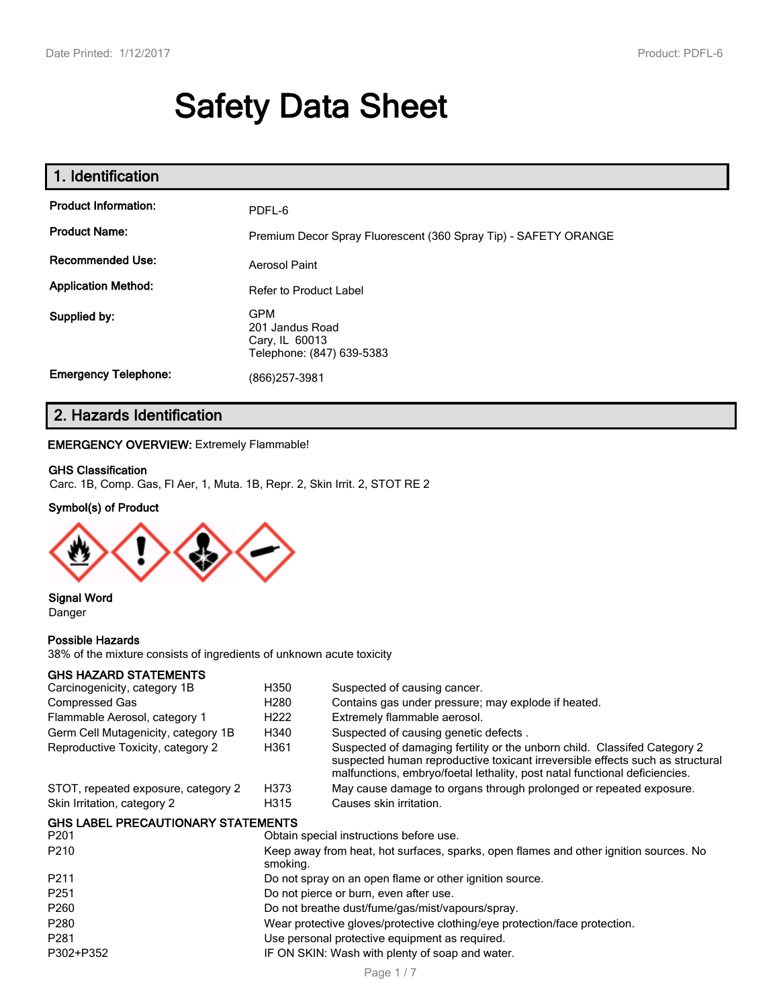# **Safety Data Sheet**

| 1. Identification           |                                                                              |
|-----------------------------|------------------------------------------------------------------------------|
| <b>Product Information:</b> | PDFL-6                                                                       |
| <b>Product Name:</b>        | Premium Decor Spray Fluorescent (360 Spray Tip) - SAFETY ORANGE              |
| <b>Recommended Use:</b>     | Aerosol Paint                                                                |
| <b>Application Method:</b>  | <b>Refer to Product Label</b>                                                |
| Supplied by:                | <b>GPM</b><br>201 Jandus Road<br>Cary, IL 60013<br>Telephone: (847) 639-5383 |
| <b>Emergency Telephone:</b> | (866) 257-3981                                                               |

### **2. Hazards Identification**

#### **EMERGENCY OVERVIEW:** Extremely Flammable!

#### **GHS Classification**

Carc. 1B, Comp. Gas, Fl Aer, 1, Muta. 1B, Repr. 2, Skin Irrit. 2, STOT RE 2

#### **Symbol(s) of Product**



### **Signal Word**

Danger

#### **Possible Hazards**

38% of the mixture consists of ingredients of unknown acute toxicity

#### **GHS HAZARD STATEMENTS**

| Carcinogenicity, category 1B              | H350                                                                                              | Suspected of causing cancer.                                                                                                                                                                                                             |  |
|-------------------------------------------|---------------------------------------------------------------------------------------------------|------------------------------------------------------------------------------------------------------------------------------------------------------------------------------------------------------------------------------------------|--|
| <b>Compressed Gas</b>                     | H <sub>280</sub>                                                                                  | Contains gas under pressure; may explode if heated.                                                                                                                                                                                      |  |
| Flammable Aerosol, category 1             | H <sub>222</sub>                                                                                  | Extremely flammable aerosol.                                                                                                                                                                                                             |  |
| Germ Cell Mutagenicity, category 1B       | H340                                                                                              | Suspected of causing genetic defects.                                                                                                                                                                                                    |  |
| Reproductive Toxicity, category 2         | H361                                                                                              | Suspected of damaging fertility or the unborn child. Classifed Category 2<br>suspected human reproductive toxicant irreversible effects such as structural<br>malfunctions, embryo/foetal lethality, post natal functional deficiencies. |  |
| STOT, repeated exposure, category 2       | H373                                                                                              | May cause damage to organs through prolonged or repeated exposure.                                                                                                                                                                       |  |
| Skin Irritation, category 2               | H315                                                                                              | Causes skin irritation.                                                                                                                                                                                                                  |  |
| <b>GHS LABEL PRECAUTIONARY STATEMENTS</b> |                                                                                                   |                                                                                                                                                                                                                                          |  |
| P <sub>201</sub>                          |                                                                                                   | Obtain special instructions before use.                                                                                                                                                                                                  |  |
| P <sub>210</sub>                          | Keep away from heat, hot surfaces, sparks, open flames and other ignition sources. No<br>smoking. |                                                                                                                                                                                                                                          |  |
| D <sub>211</sub>                          |                                                                                                   | De not envou en on enon flome er ether ignition course                                                                                                                                                                                   |  |

P211 Do not spray on an open flame or other ignition source.

P251 Do not pierce or burn, even after use.

P260 **Do not breathe dust/fume/gas/mist/vapours/spray.** 

P280 Wear protective gloves/protective clothing/eye protection/face protection.

- P281 P281 Contract Parameters Use personal protective equipment as required.
- P302+P352 IF ON SKIN: Wash with plenty of soap and water.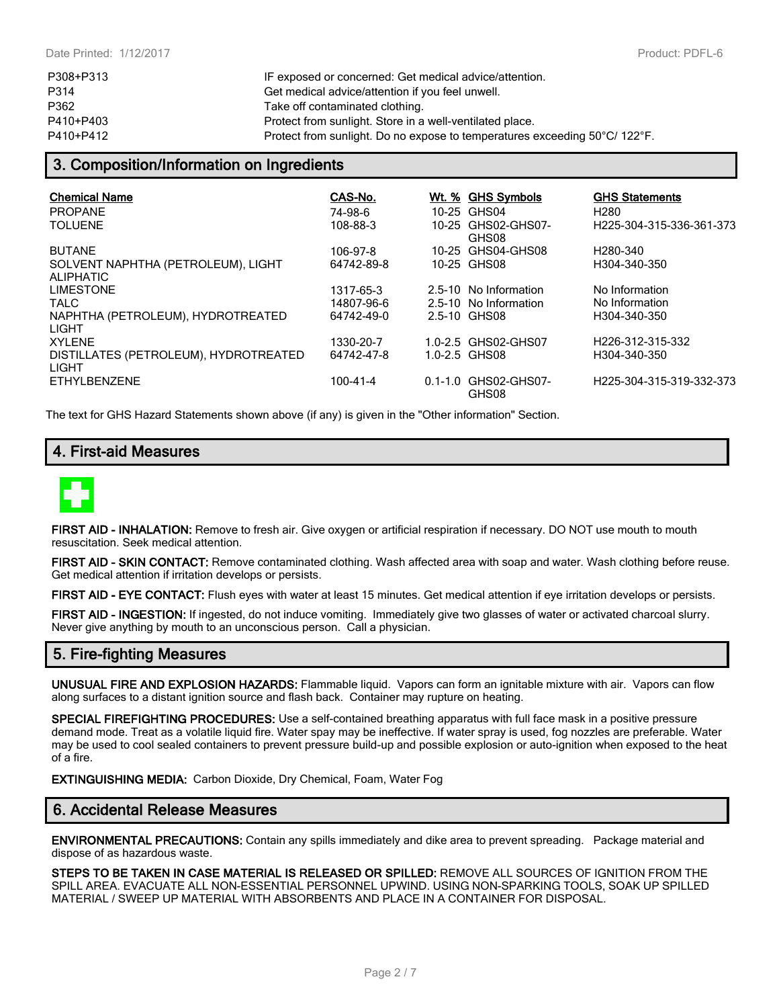| P308+P313 | IF exposed or concerned: Get medical advice/attention.                     |
|-----------|----------------------------------------------------------------------------|
| P314      | Get medical advice/attention if you feel unwell.                           |
| P362      | Take off contaminated clothing.                                            |
| P410+P403 | Protect from sunlight. Store in a well-ventilated place.                   |
| P410+P412 | Protect from sunlight. Do no expose to temperatures exceeding 50°C/ 122°F. |

#### **3. Composition/Information on Ingredients**

| <b>Chemical Name</b>                                   | CAS-No.    | Wt. % GHS Symbols             | <b>GHS Statements</b>         |
|--------------------------------------------------------|------------|-------------------------------|-------------------------------|
| <b>PROPANE</b>                                         | 74-98-6    | 10-25 GHS04                   | H <sub>280</sub>              |
| TOI UFNE                                               | 108-88-3   | 10-25 GHS02-GHS07-<br>GHS08   | H225-304-315-336-361-373      |
| <b>BUTANE</b>                                          | 106-97-8   | 10-25 GHS04-GHS08             | H <sub>280</sub> -340         |
| SOLVENT NAPHTHA (PETROLEUM), LIGHT<br><b>ALIPHATIC</b> | 64742-89-8 | 10-25 GHS08                   | H304-340-350                  |
| <b>LIMESTONE</b>                                       | 1317-65-3  | 2.5-10 No Information         | No Information                |
| TAI C                                                  | 14807-96-6 | 2.5-10 No Information         | No Information                |
| NAPHTHA (PETROLEUM), HYDROTREATED<br>LIGHT             | 64742-49-0 | 2.5-10 GHS08                  | H304-340-350                  |
| <b>XYLENE</b>                                          | 1330-20-7  | 1.0-2.5 GHS02-GHS07           | H <sub>226</sub> -312-315-332 |
| DISTILLATES (PETROLEUM), HYDROTREATED<br>LIGHT         | 64742-47-8 | 1.0-2.5 GHS08                 | H304-340-350                  |
| <b>ETHYLBENZENE</b>                                    | 100-41-4   | 0.1-1.0 GHS02-GHS07-<br>GHS08 | H225-304-315-319-332-373      |

The text for GHS Hazard Statements shown above (if any) is given in the "Other information" Section.

#### **4. First-aid Measures**



**FIRST AID - INHALATION:** Remove to fresh air. Give oxygen or artificial respiration if necessary. DO NOT use mouth to mouth resuscitation. Seek medical attention.

**FIRST AID - SKIN CONTACT:** Remove contaminated clothing. Wash affected area with soap and water. Wash clothing before reuse. Get medical attention if irritation develops or persists.

**FIRST AID - EYE CONTACT:** Flush eyes with water at least 15 minutes. Get medical attention if eye irritation develops or persists.

**FIRST AID - INGESTION:** If ingested, do not induce vomiting. Immediately give two glasses of water or activated charcoal slurry. Never give anything by mouth to an unconscious person. Call a physician.

#### **5. Fire-fighting Measures**

**UNUSUAL FIRE AND EXPLOSION HAZARDS:** Flammable liquid. Vapors can form an ignitable mixture with air. Vapors can flow along surfaces to a distant ignition source and flash back. Container may rupture on heating.

**SPECIAL FIREFIGHTING PROCEDURES:** Use a self-contained breathing apparatus with full face mask in a positive pressure demand mode. Treat as a volatile liquid fire. Water spay may be ineffective. If water spray is used, fog nozzles are preferable. Water may be used to cool sealed containers to prevent pressure build-up and possible explosion or auto-ignition when exposed to the heat of a fire.

**EXTINGUISHING MEDIA:** Carbon Dioxide, Dry Chemical, Foam, Water Fog

#### **6. Accidental Release Measures**

**ENVIRONMENTAL PRECAUTIONS:** Contain any spills immediately and dike area to prevent spreading. Package material and dispose of as hazardous waste.

**STEPS TO BE TAKEN IN CASE MATERIAL IS RELEASED OR SPILLED:** REMOVE ALL SOURCES OF IGNITION FROM THE SPILL AREA. EVACUATE ALL NON-ESSENTIAL PERSONNEL UPWIND. USING NON-SPARKING TOOLS, SOAK UP SPILLED MATERIAL / SWEEP UP MATERIAL WITH ABSORBENTS AND PLACE IN A CONTAINER FOR DISPOSAL.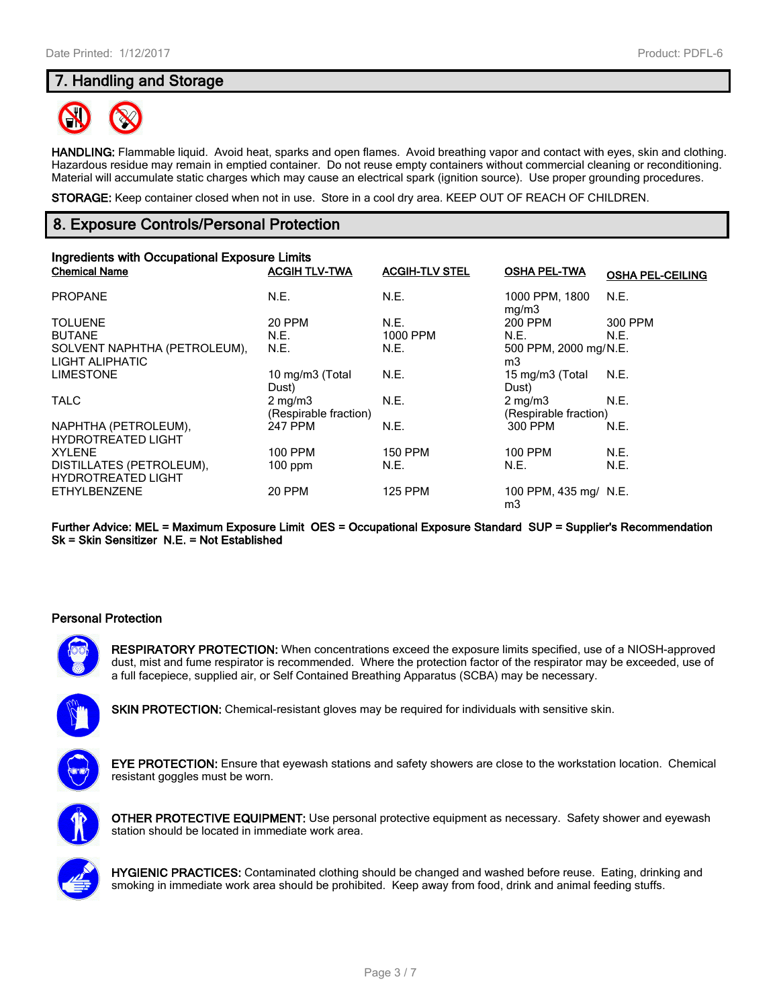#### **7. Handling and Storage**



**HANDLING:** Flammable liquid. Avoid heat, sparks and open flames. Avoid breathing vapor and contact with eyes, skin and clothing. Hazardous residue may remain in emptied container. Do not reuse empty containers without commercial cleaning or reconditioning. Material will accumulate static charges which may cause an electrical spark (ignition source). Use proper grounding procedures.

**STORAGE:** Keep container closed when not in use. Store in a cool dry area. KEEP OUT OF REACH OF CHILDREN.

#### **8. Exposure Controls/Personal Protection**

| Ingredients with Occupational Exposure Limits         |                                           |                       |                                           |                         |
|-------------------------------------------------------|-------------------------------------------|-----------------------|-------------------------------------------|-------------------------|
| <b>Chemical Name</b>                                  | <b>ACGIH TLV-TWA</b>                      | <b>ACGIH-TLV STEL</b> | <b>OSHA PEL-TWA</b>                       | <b>OSHA PEL-CEILING</b> |
| <b>PROPANE</b>                                        | N.E.                                      | N.E.                  | 1000 PPM, 1800<br>mg/m3                   | N.E.                    |
| <b>TOLUENE</b>                                        | <b>20 PPM</b>                             | N.E.                  | 200 PPM                                   | 300 PPM                 |
| <b>BUTANE</b>                                         | N.E.                                      | 1000 PPM              | N.E.                                      | N.E.                    |
| SOLVENT NAPHTHA (PETROLEUM),<br>LIGHT ALIPHATIC       | N.E.                                      | N.E.                  | 500 PPM, 2000 mg/N.E.<br>m3               |                         |
| <b>LIMESTONE</b>                                      | 10 mg/m3 (Total<br>Dust)                  | N.E.                  | 15 mg/m3 (Total<br>Dust)                  | N.E.                    |
| <b>TALC</b>                                           | $2 \text{ mg/m}$<br>(Respirable fraction) | N.E.                  | $2 \text{ mg/m}$<br>(Respirable fraction) | N.E.                    |
| NAPHTHA (PETROLEUM),<br><b>HYDROTREATED LIGHT</b>     | 247 PPM                                   | N.E.                  | 300 PPM                                   | N.E.                    |
| <b>XYLENE</b>                                         | 100 PPM                                   | <b>150 PPM</b>        | 100 PPM                                   | N.E.                    |
| DISTILLATES (PETROLEUM),<br><b>HYDROTREATED LIGHT</b> | $100$ ppm                                 | N.E.                  | N.E.                                      | N.E.                    |
| <b>ETHYLBENZENE</b>                                   | 20 PPM                                    | <b>125 PPM</b>        | 100 PPM, 435 mg/ N.E.<br>m3               |                         |

**Further Advice: MEL = Maximum Exposure Limit OES = Occupational Exposure Standard SUP = Supplier's Recommendation Sk = Skin Sensitizer N.E. = Not Established**

#### **Personal Protection**



**RESPIRATORY PROTECTION:** When concentrations exceed the exposure limits specified, use of a NIOSH-approved dust, mist and fume respirator is recommended. Where the protection factor of the respirator may be exceeded, use of a full facepiece, supplied air, or Self Contained Breathing Apparatus (SCBA) may be necessary.



**SKIN PROTECTION:** Chemical-resistant gloves may be required for individuals with sensitive skin.



**EYE PROTECTION:** Ensure that eyewash stations and safety showers are close to the workstation location. Chemical resistant goggles must be worn.



**OTHER PROTECTIVE EQUIPMENT:** Use personal protective equipment as necessary. Safety shower and eyewash station should be located in immediate work area.



**HYGIENIC PRACTICES:** Contaminated clothing should be changed and washed before reuse. Eating, drinking and smoking in immediate work area should be prohibited. Keep away from food, drink and animal feeding stuffs.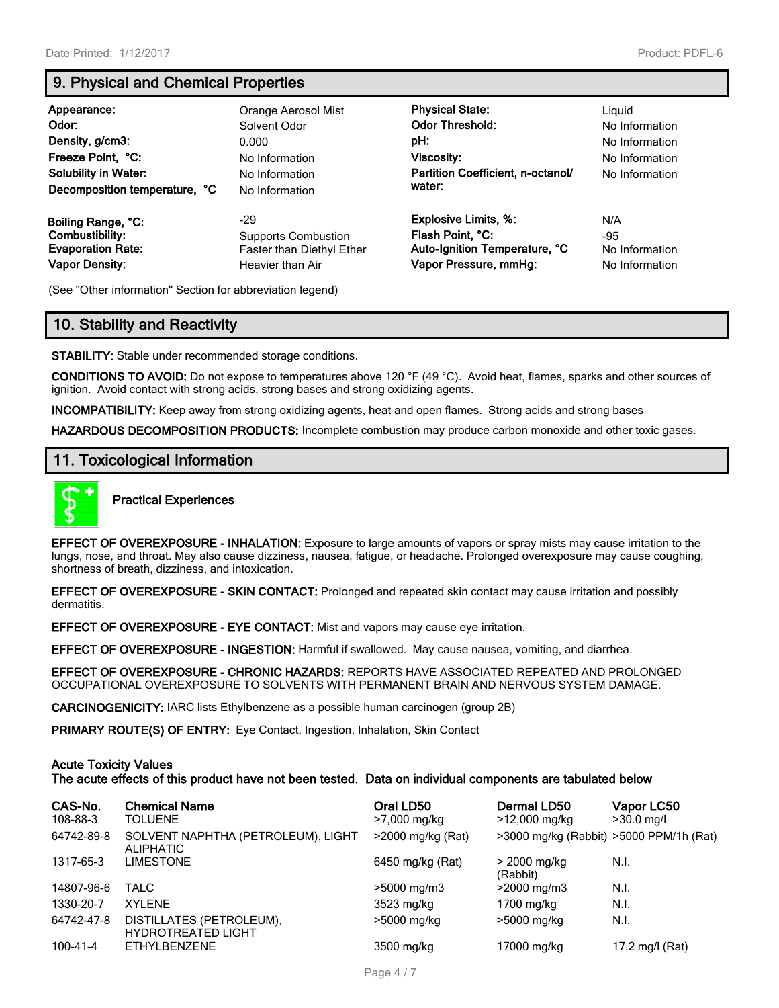### **9. Physical and Chemical Properties**

| Appearance:<br>Odor:<br>Density, g/cm3:<br>Freeze Point, °C:<br><b>Solubility in Water:</b><br>Decomposition temperature, °C | Orange Aerosol Mist<br>Solvent Odor<br>0.000<br>No Information<br>No Information<br>No Information | <b>Physical State:</b><br><b>Odor Threshold:</b><br>pH:<br>Viscosity:<br>Partition Coefficient, n-octanol/<br>water: | Liauid<br>No Information<br>No Information<br>No Information<br>No Information |
|------------------------------------------------------------------------------------------------------------------------------|----------------------------------------------------------------------------------------------------|----------------------------------------------------------------------------------------------------------------------|--------------------------------------------------------------------------------|
| Boiling Range, °C:                                                                                                           | -29                                                                                                | <b>Explosive Limits, %:</b>                                                                                          | N/A                                                                            |
| Combustibility:                                                                                                              | <b>Supports Combustion</b>                                                                         | Flash Point, °C:                                                                                                     | -95                                                                            |
| <b>Evaporation Rate:</b>                                                                                                     | Faster than Diethyl Ether                                                                          | Auto-Ignition Temperature, °C                                                                                        | No Information                                                                 |
| <b>Vapor Density:</b>                                                                                                        | Heavier than Air                                                                                   | Vapor Pressure, mmHg:                                                                                                | No Information                                                                 |

(See "Other information" Section for abbreviation legend)

### **10. Stability and Reactivity**

**STABILITY:** Stable under recommended storage conditions.

**CONDITIONS TO AVOID:** Do not expose to temperatures above 120 °F (49 °C). Avoid heat, flames, sparks and other sources of ignition. Avoid contact with strong acids, strong bases and strong oxidizing agents.

**INCOMPATIBILITY:** Keep away from strong oxidizing agents, heat and open flames. Strong acids and strong bases

**HAZARDOUS DECOMPOSITION PRODUCTS:** Incomplete combustion may produce carbon monoxide and other toxic gases.

#### **11. Toxicological Information**



**Practical Experiences**

**EFFECT OF OVEREXPOSURE - INHALATION:** Exposure to large amounts of vapors or spray mists may cause irritation to the lungs, nose, and throat. May also cause dizziness, nausea, fatigue, or headache. Prolonged overexposure may cause coughing, shortness of breath, dizziness, and intoxication.

**EFFECT OF OVEREXPOSURE - SKIN CONTACT:** Prolonged and repeated skin contact may cause irritation and possibly dermatitis.

**EFFECT OF OVEREXPOSURE - EYE CONTACT:** Mist and vapors may cause eye irritation.

**EFFECT OF OVEREXPOSURE - INGESTION:** Harmful if swallowed. May cause nausea, vomiting, and diarrhea.

**EFFECT OF OVEREXPOSURE - CHRONIC HAZARDS:** REPORTS HAVE ASSOCIATED REPEATED AND PROLONGED OCCUPATIONAL OVEREXPOSURE TO SOLVENTS WITH PERMANENT BRAIN AND NERVOUS SYSTEM DAMAGE.

**CARCINOGENICITY:** IARC lists Ethylbenzene as a possible human carcinogen (group 2B)

**PRIMARY ROUTE(S) OF ENTRY:** Eye Contact, Ingestion, Inhalation, Skin Contact

#### **Acute Toxicity Values**

**The acute effects of this product have not been tested. Data on individual components are tabulated below**

| CAS-No.<br>108-88-3 | <b>Chemical Name</b><br>TOLUENE                        | Oral LD50<br>>7,000 mg/kg | Dermal LD50<br>>12,000 mg/kg            | Vapor LC50<br>$>30.0$ mg/l |
|---------------------|--------------------------------------------------------|---------------------------|-----------------------------------------|----------------------------|
| 64742-89-8          | SOLVENT NAPHTHA (PETROLEUM), LIGHT<br><b>ALIPHATIC</b> | $>$ 2000 mg/kg (Rat)      | >3000 mg/kg (Rabbit) >5000 PPM/1h (Rat) |                            |
| 1317-65-3           | <b>LIMESTONE</b>                                       | 6450 mg/kg (Rat)          | > 2000 mg/kg<br>(Rabbit)                | N.I.                       |
| 14807-96-6          | TALC                                                   | $>5000 \; \text{mg/m}$    | $>2000$ mg/m3                           | N.I.                       |
| 1330-20-7           | <b>XYLENE</b>                                          | 3523 mg/kg                | 1700 mg/kg                              | N.I.                       |
| 64742-47-8          | DISTILLATES (PETROLEUM),<br><b>HYDROTREATED LIGHT</b>  | >5000 mg/kg               | >5000 mg/kg                             | N.I.                       |
| 100-41-4            | ETHYLBENZENE                                           | 3500 mg/kg                | 17000 mg/ka                             | 17.2 mg/l (Rat)            |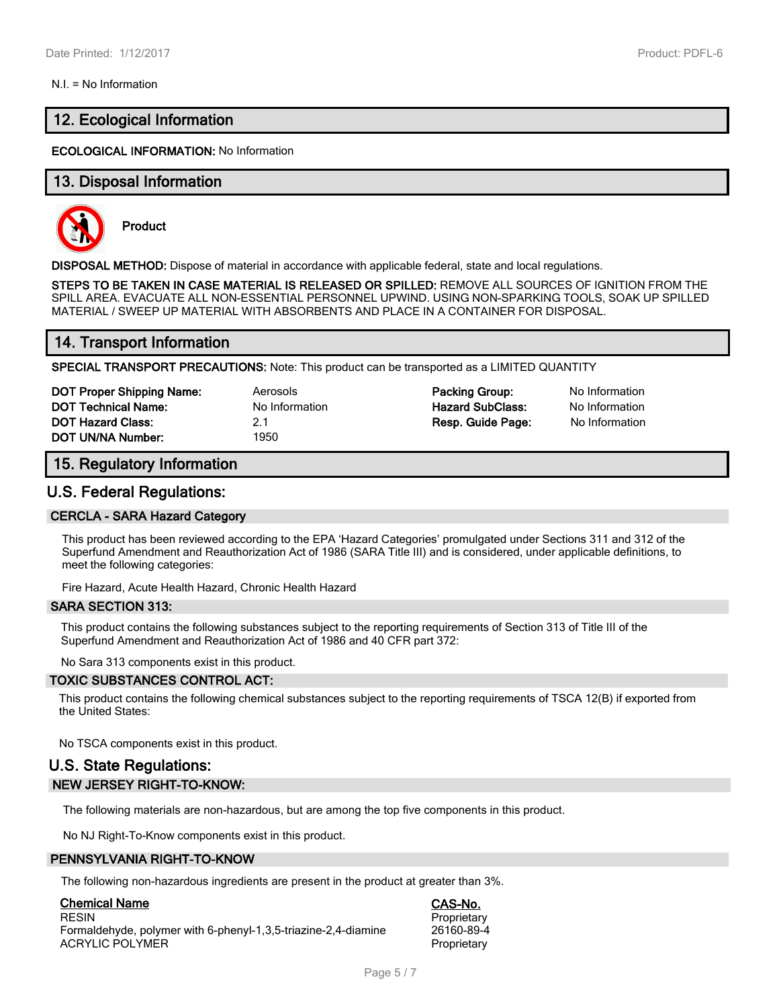#### N.I. = No Information

#### **12. Ecological Information**

#### **ECOLOGICAL INFORMATION:** No Information

#### **13. Disposal Information**



**Product**

**DISPOSAL METHOD:** Dispose of material in accordance with applicable federal, state and local regulations.

**STEPS TO BE TAKEN IN CASE MATERIAL IS RELEASED OR SPILLED:** REMOVE ALL SOURCES OF IGNITION FROM THE SPILL AREA. EVACUATE ALL NON-ESSENTIAL PERSONNEL UPWIND. USING NON-SPARKING TOOLS, SOAK UP SPILLED MATERIAL / SWEEP UP MATERIAL WITH ABSORBENTS AND PLACE IN A CONTAINER FOR DISPOSAL.

#### **14. Transport Information**

**SPECIAL TRANSPORT PRECAUTIONS:** Note: This product can be transported as a LIMITED QUANTITY

| <b>DOT Proper Shipping Name:</b> | Aerosols       | Packing Group:          | No Information |
|----------------------------------|----------------|-------------------------|----------------|
| <b>DOT Technical Name:</b>       | No Information | <b>Hazard SubClass:</b> | No Information |
| <b>DOT Hazard Class:</b>         | 2.1            | Resp. Guide Page:       | No Information |
| DOT UN/NA Number:                | 1950           |                         |                |

#### **15. Regulatory Information**

#### **U.S. Federal Regulations:**

#### **CERCLA - SARA Hazard Category**

This product has been reviewed according to the EPA 'Hazard Categories' promulgated under Sections 311 and 312 of the Superfund Amendment and Reauthorization Act of 1986 (SARA Title III) and is considered, under applicable definitions, to meet the following categories:

Fire Hazard, Acute Health Hazard, Chronic Health Hazard

#### **SARA SECTION 313:**

This product contains the following substances subject to the reporting requirements of Section 313 of Title III of the Superfund Amendment and Reauthorization Act of 1986 and 40 CFR part 372:

No Sara 313 components exist in this product.

#### **TOXIC SUBSTANCES CONTROL ACT:**

This product contains the following chemical substances subject to the reporting requirements of TSCA 12(B) if exported from the United States:

No TSCA components exist in this product.

#### **U.S. State Regulations: NEW JERSEY RIGHT-TO-KNOW:**

The following materials are non-hazardous, but are among the top five components in this product.

No NJ Right-To-Know components exist in this product.

#### **PENNSYLVANIA RIGHT-TO-KNOW**

The following non-hazardous ingredients are present in the product at greater than 3%.

**Chemical Name CAS-No.** Formaldehyde, polymer with 6-phenyl-1,3,5-triazine-2,4-diamine ACRYLIC POLYMER **PROPRIET ACCESS** Proprietary

Proprietary<br>26160-89-4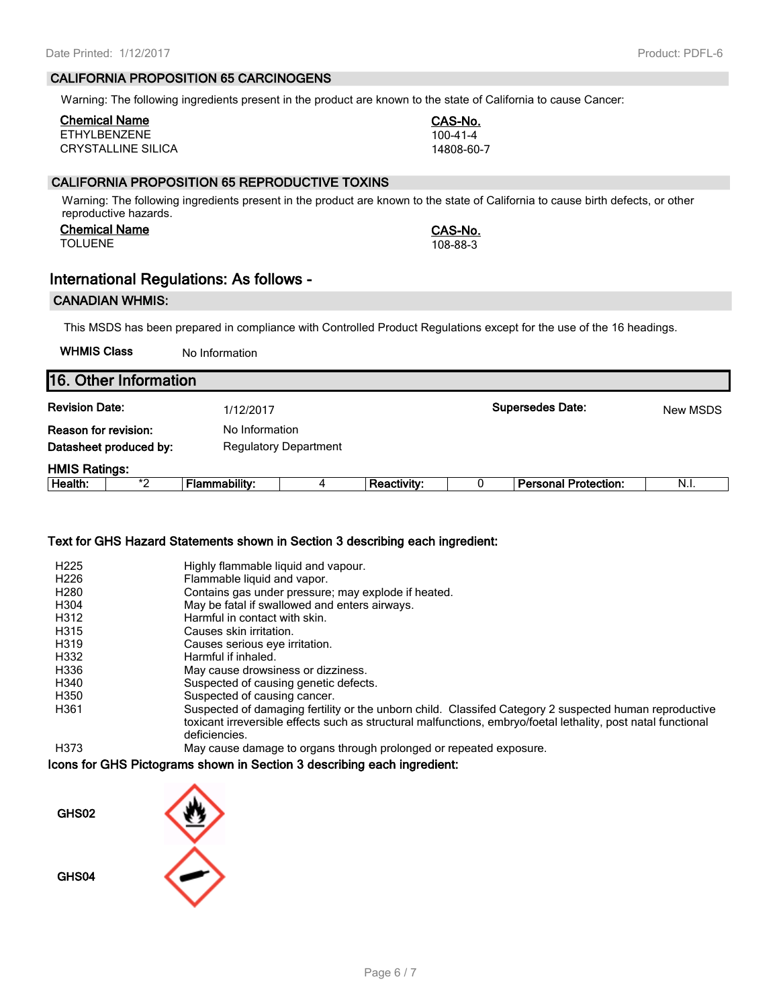#### **CALIFORNIA PROPOSITION 65 CARCINOGENS**

Warning: The following ingredients present in the product are known to the state of California to cause Cancer:

## **Chemical Name CAS-No.**

ETHYLBENZENE 100-41-4<br>CRYSTALLINE SILICA 14808-60-7 CRYSTALLINE SILICA

#### **CALIFORNIA PROPOSITION 65 REPRODUCTIVE TOXINS**

Warning: The following ingredients present in the product are known to the state of California to cause birth defects, or other reproductive hazards.

#### **Chemical Name CAS-No.** TOLUENE 108-88-3

#### **International Regulations: As follows -**

#### **CANADIAN WHMIS:**

**16. Other Information**

This MSDS has been prepared in compliance with Controlled Product Regulations except for the use of the 16 headings.

**WHMIS Class** No Information

|                       | 116. Other Information |                      |                              |                    |  |                             |          |
|-----------------------|------------------------|----------------------|------------------------------|--------------------|--|-----------------------------|----------|
| <b>Revision Date:</b> |                        | 1/12/2017            |                              |                    |  | <b>Supersedes Date:</b>     | New MSDS |
| Reason for revision:  |                        |                      | No Information               |                    |  |                             |          |
|                       | Datasheet produced by: |                      | <b>Regulatory Department</b> |                    |  |                             |          |
| <b>HMIS Ratings:</b>  |                        |                      |                              |                    |  |                             |          |
| Health:               | *2                     | <b>Flammability:</b> |                              | <b>Reactivity:</b> |  | <b>Personal Protection:</b> | N.I.     |
|                       |                        |                      |                              |                    |  |                             |          |

#### **Text for GHS Hazard Statements shown in Section 3 describing each ingredient:**

| H <sub>225</sub> | Highly flammable liquid and vapour.                                                                           |
|------------------|---------------------------------------------------------------------------------------------------------------|
| H <sub>226</sub> | Flammable liquid and vapor.                                                                                   |
| H280             | Contains gas under pressure; may explode if heated.                                                           |
| H304             | May be fatal if swallowed and enters airways.                                                                 |
| H312             | Harmful in contact with skin.                                                                                 |
| H315             | Causes skin irritation.                                                                                       |
| H319             | Causes serious eye irritation.                                                                                |
| H332             | Harmful if inhaled.                                                                                           |
| H336             | May cause drowsiness or dizziness.                                                                            |
| H340             | Suspected of causing genetic defects.                                                                         |
| H350             | Suspected of causing cancer.                                                                                  |
| H361             | Suspected of damaging fertility or the unborn child. Classifed Category 2 suspected human reproductive        |
|                  | toxicant irreversible effects such as structural malfunctions, embryo/foetal lethality, post natal functional |
|                  | deficiencies.                                                                                                 |
| H373             | May cause damage to organs through prolonged or repeated exposure.                                            |

#### **Icons for GHS Pictograms shown in Section 3 describing each ingredient:**